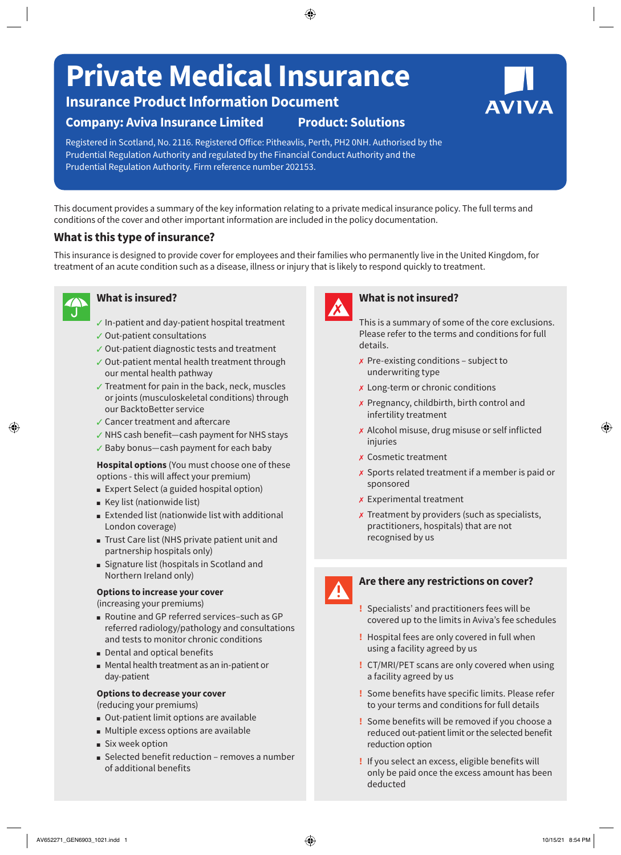# **Private Medical Insurance**

# **Insurance Product Information Document**

# **Company: Aviva Insurance Limited Product: Solutions**

Registered in Scotland, No. 2116. Registered Office: Pitheavlis, Perth, PH2 0NH. Authorised by the Prudential Regulation Authority and regulated by the Financial Conduct Authority and the Prudential Regulation Authority. Firm reference number 202153.

This document provides a summary of the key information relating to a private medical insurance policy. The full terms and conditions of the cover and other important information are included in the policy documentation.

# **What is this type of insurance?**

This insurance is designed to provide cover for employees and their families who permanently live in the United Kingdom, for treatment of an acute condition such as a disease, illness or injury that is likely to respond quickly to treatment.

# **What is insured?**

- $\checkmark$  In-patient and day-patient hospital treatment
- $\checkmark$  Out-patient consultations
- $\checkmark$  Out-patient diagnostic tests and treatment
- $\checkmark$  Out-patient mental health treatment through our mental health pathway
- $\checkmark$  Treatment for pain in the back, neck, muscles or joints (musculoskeletal conditions) through our BacktoBetter service
- $\angle$  Cancer treatment and aftercare
- $\checkmark$  NHS cash benefit—cash payment for NHS stays
- $\checkmark$  Baby bonus—cash payment for each baby

**Hospital options** (You must choose one of these options - this will affect your premium)

- Expert Select (a guided hospital option)
- $R$  Key list (nationwide list)
- $E$  Extended list (nationwide list with additional London coverage)
- Trust Care list (NHS private patient unit and partnership hospitals only)
- <sup>n</sup> Signature list (hospitals in Scotland and Northern Ireland only)

#### **Options to increase your cover**

(increasing your premiums)

- Routine and GP referred services-such as GP referred radiology/pathology and consultations and tests to monitor chronic conditions
- Dental and optical benefits
- Mental health treatment as an in-patient or day-patient
- **Options to decrease your cover**

(reducing your premiums)

- <sup>n</sup> Out-patient limit options are available
- Multiple excess options are available
- six week option
- $\blacksquare$  Selected benefit reduction removes a number of additional benefits



# **What is not insured?**

This is a summary of some of the core exclusions. Please refer to the terms and conditions for full details.

- $x$  Pre-existing conditions subject to underwriting type
- $x$  Long-term or chronic conditions
- $\boldsymbol{\chi}$  Pregnancy, childbirth, birth control and infertility treatment
- $x$  Alcohol misuse, drug misuse or self inflicted injuries
- $x$  Cosmetic treatment
- $\boldsymbol{\chi}$  Sports related treatment if a member is paid or sponsored
- $x$  Experimental treatment
- $\boldsymbol{\chi}$  Treatment by providers (such as specialists, practitioners, hospitals) that are not recognised by us



# **Are there any restrictions on cover?**

- **!** Specialists' and practitioners fees will be covered up to the limits in Aviva's fee schedules
- **!** Hospital fees are only covered in full when using a facility agreed by us
- **!** CT/MRI/PET scans are only covered when using a facility agreed by us
- **!** Some benefits have specific limits. Please refer to your terms and conditions for full details
- **!** Some benefits will be removed if you choose a reduced out-patient limit or the selected benefit reduction option
- **!** If you select an excess, eligible benefits will only be paid once the excess amount has been deducted